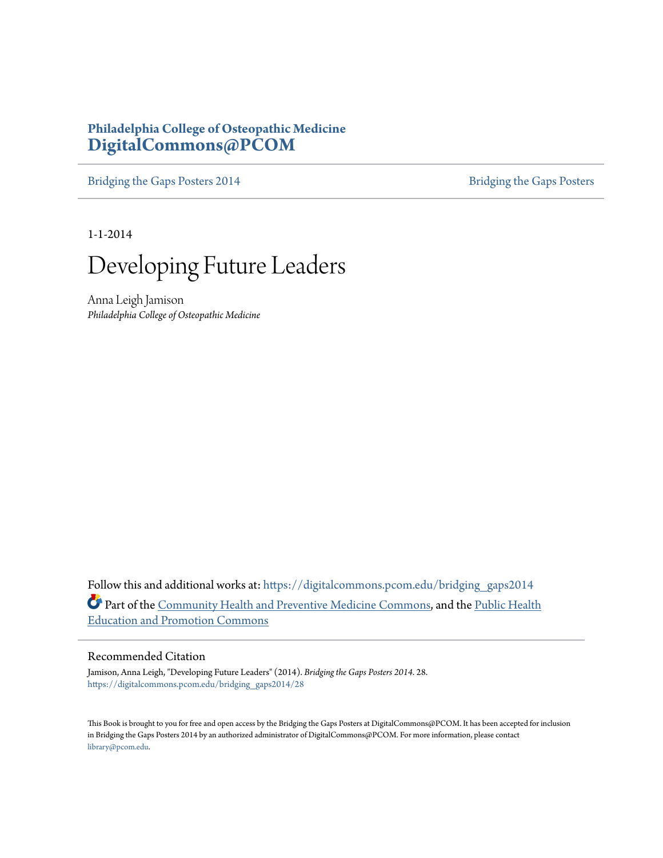#### **Philadelphia College of Osteopathic Medicine [DigitalCommons@PCOM](https://digitalcommons.pcom.edu?utm_source=digitalcommons.pcom.edu%2Fbridging_gaps2014%2F28&utm_medium=PDF&utm_campaign=PDFCoverPages)**

[Bridging the Gaps Posters 2014](https://digitalcommons.pcom.edu/bridging_gaps2014?utm_source=digitalcommons.pcom.edu%2Fbridging_gaps2014%2F28&utm_medium=PDF&utm_campaign=PDFCoverPages) [Bridging the Gaps Posters](https://digitalcommons.pcom.edu/bridging_gaps?utm_source=digitalcommons.pcom.edu%2Fbridging_gaps2014%2F28&utm_medium=PDF&utm_campaign=PDFCoverPages)

1-1-2014



Anna Leigh Jamison *Philadelphia College of Osteopathic Medicine*

Follow this and additional works at: [https://digitalcommons.pcom.edu/bridging\\_gaps2014](https://digitalcommons.pcom.edu/bridging_gaps2014?utm_source=digitalcommons.pcom.edu%2Fbridging_gaps2014%2F28&utm_medium=PDF&utm_campaign=PDFCoverPages) Part of the [Community Health and Preventive Medicine Commons,](http://network.bepress.com/hgg/discipline/744?utm_source=digitalcommons.pcom.edu%2Fbridging_gaps2014%2F28&utm_medium=PDF&utm_campaign=PDFCoverPages) and the [Public Health](http://network.bepress.com/hgg/discipline/743?utm_source=digitalcommons.pcom.edu%2Fbridging_gaps2014%2F28&utm_medium=PDF&utm_campaign=PDFCoverPages) [Education and Promotion Commons](http://network.bepress.com/hgg/discipline/743?utm_source=digitalcommons.pcom.edu%2Fbridging_gaps2014%2F28&utm_medium=PDF&utm_campaign=PDFCoverPages)

#### Recommended Citation

Jamison, Anna Leigh, "Developing Future Leaders" (2014). *Bridging the Gaps Posters 2014*. 28. [https://digitalcommons.pcom.edu/bridging\\_gaps2014/28](https://digitalcommons.pcom.edu/bridging_gaps2014/28?utm_source=digitalcommons.pcom.edu%2Fbridging_gaps2014%2F28&utm_medium=PDF&utm_campaign=PDFCoverPages)

This Book is brought to you for free and open access by the Bridging the Gaps Posters at DigitalCommons@PCOM. It has been accepted for inclusion in Bridging the Gaps Posters 2014 by an authorized administrator of DigitalCommons@PCOM. For more information, please contact [library@pcom.edu](mailto:library@pcom.edu).